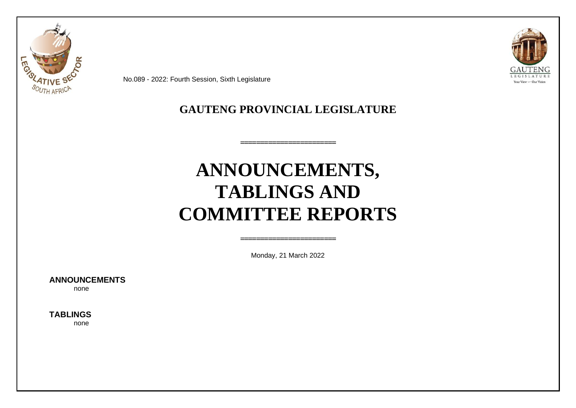

No.089 - 2022: Fourth Session, Sixth Legislature



## **GAUTENG PROVINCIAL LEGISLATURE**

**========================** 

# **ANNOUNCEMENTS, TABLINGS AND COMMITTEE REPORTS**

Monday, 21 March 2022

**========================**

**ANNOUNCEMENTS**

none

**TABLINGS**

none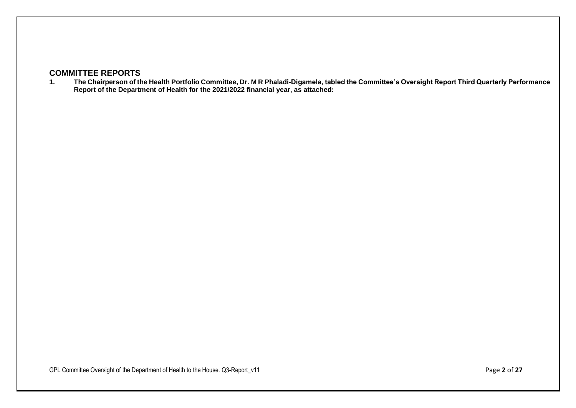## **COMMITTEE REPORTS**<br>1. The Chairperson of the

**1. The Chairperson of the Health Portfolio Committee, Dr. M R Phaladi-Digamela, tabled the Committee's Oversight Report Third Quarterly Performance Report of the Department of Health for the 2021/2022 financial year, as attached:**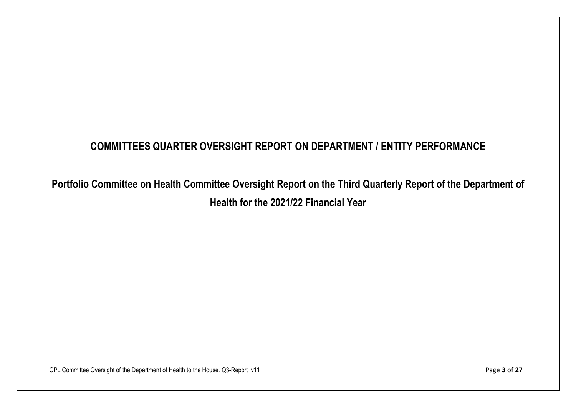## **COMMITTEES QUARTER OVERSIGHT REPORT ON DEPARTMENT / ENTITY PERFORMANCE**

**Portfolio Committee on Health Committee Oversight Report on the Third Quarterly Report of the Department of Health for the 2021/22 Financial Year**

GPL Committee Oversight of the Department of Health to the House. Q3-Report\_v11 **Page 3** of **27**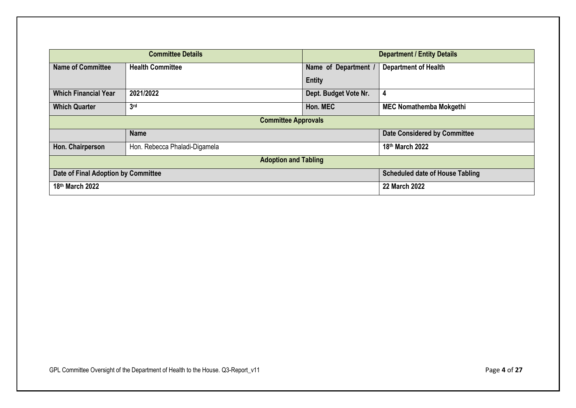| <b>Committee Details</b>            |                               | <b>Department / Entity Details</b>         |                                        |  |
|-------------------------------------|-------------------------------|--------------------------------------------|----------------------------------------|--|
| <b>Name of Committee</b>            | <b>Health Committee</b>       | Name of Department /                       | <b>Department of Health</b>            |  |
|                                     |                               | <b>Entity</b>                              |                                        |  |
| <b>Which Financial Year</b>         | 2021/2022                     | Dept. Budget Vote Nr.                      | 4                                      |  |
| <b>Which Quarter</b>                | 3 <sup>rd</sup>               | <b>MEC Nomathemba Mokgethi</b><br>Hon. MEC |                                        |  |
| <b>Committee Approvals</b>          |                               |                                            |                                        |  |
|                                     | <b>Name</b>                   |                                            | <b>Date Considered by Committee</b>    |  |
| Hon. Chairperson                    | Hon. Rebecca Phaladi-Digamela |                                            | 18th March 2022                        |  |
| <b>Adoption and Tabling</b>         |                               |                                            |                                        |  |
| Date of Final Adoption by Committee |                               |                                            | <b>Scheduled date of House Tabling</b> |  |
| 18th March 2022                     |                               |                                            | <b>22 March 2022</b>                   |  |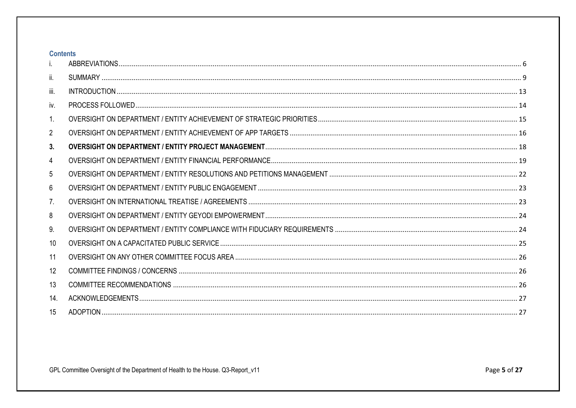## **Contents**

| ii.            |  |
|----------------|--|
| iii.           |  |
| iv.            |  |
| 1.             |  |
| $\overline{2}$ |  |
| 3.             |  |
| 4              |  |
| 5              |  |
| 6              |  |
| 7.             |  |
| 8              |  |
| 9.             |  |
| 10             |  |
| 11             |  |
| 12             |  |
| 13             |  |
| 14.            |  |
| 15             |  |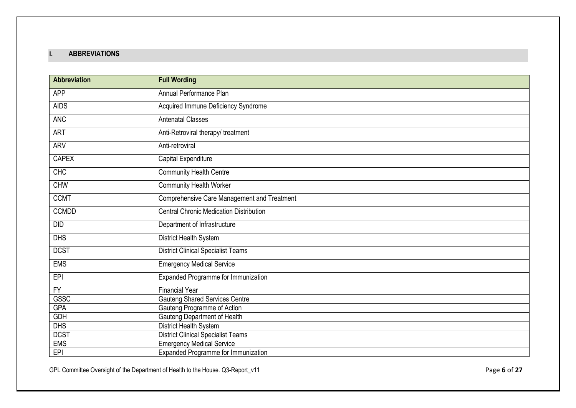## <span id="page-5-0"></span>**i. ABBREVIATIONS**

| <b>Abbreviation</b> | <b>Full Wording</b>                            |
|---------------------|------------------------------------------------|
| <b>APP</b>          | Annual Performance Plan                        |
| <b>AIDS</b>         | Acquired Immune Deficiency Syndrome            |
| <b>ANC</b>          | <b>Antenatal Classes</b>                       |
| <b>ART</b>          | Anti-Retroviral therapy/ treatment             |
| ARV                 | Anti-retroviral                                |
| <b>CAPEX</b>        | Capital Expenditure                            |
| CHC                 | <b>Community Health Centre</b>                 |
| <b>CHW</b>          | <b>Community Health Worker</b>                 |
| <b>CCMT</b>         | Comprehensive Care Management and Treatment    |
| <b>CCMDD</b>        | <b>Central Chronic Medication Distribution</b> |
| <b>DID</b>          | Department of Infrastructure                   |
| <b>DHS</b>          | District Health System                         |
| <b>DCST</b>         | <b>District Clinical Specialist Teams</b>      |
| <b>EMS</b>          | <b>Emergency Medical Service</b>               |
| <b>EPI</b>          | Expanded Programme for Immunization            |
| $\overline{FY}$     | <b>Financial Year</b>                          |
| GSSC                | <b>Gauteng Shared Services Centre</b>          |
| GPA                 | Gauteng Programme of Action                    |
| <b>GDH</b>          | Gauteng Department of Health                   |
| <b>DHS</b>          | District Health System                         |
| <b>DCST</b>         | <b>District Clinical Specialist Teams</b>      |
| <b>EMS</b>          | <b>Emergency Medical Service</b>               |
| EPI                 | Expanded Programme for Immunization            |

GPL Committee Oversight of the Department of Health to the House. Q3-Report\_v11 **Page 6** of **27** Page **6** of **27**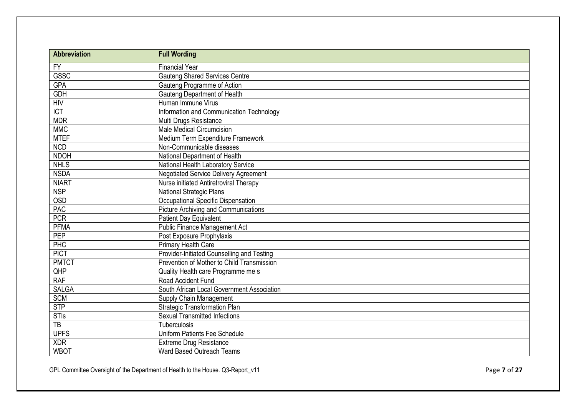| <b>Abbreviation</b> | <b>Full Wording</b>                          |
|---------------------|----------------------------------------------|
| <b>FY</b>           | <b>Financial Year</b>                        |
| <b>GSSC</b>         | <b>Gauteng Shared Services Centre</b>        |
| <b>GPA</b>          | Gauteng Programme of Action                  |
| <b>GDH</b>          | Gauteng Department of Health                 |
| <b>HIV</b>          | Human Immune Virus                           |
| $\overline{ICT}$    | Information and Communication Technology     |
| <b>MDR</b>          | Multi Drugs Resistance                       |
| <b>MMC</b>          | <b>Male Medical Circumcision</b>             |
| <b>MTEF</b>         | Medium Term Expenditure Framework            |
| <b>NCD</b>          | Non-Communicable diseases                    |
| <b>NDOH</b>         | National Department of Health                |
| <b>NHLS</b>         | National Health Laboratory Service           |
| <b>NSDA</b>         | <b>Negotiated Service Delivery Agreement</b> |
| <b>NIART</b>        | Nurse initiated Antiretroviral Therapy       |
| <b>NSP</b>          | <b>National Strategic Plans</b>              |
| <b>OSD</b>          | Occupational Specific Dispensation           |
| <b>PAC</b>          | <b>Picture Archiving and Communications</b>  |
| <b>PCR</b>          | Patient Day Equivalent                       |
| <b>PFMA</b>         | <b>Public Finance Management Act</b>         |
| PEP                 | Post Exposure Prophylaxis                    |
| PHC                 | <b>Primary Health Care</b>                   |
| <b>PICT</b>         | Provider-Initiated Counselling and Testing   |
| <b>PMTCT</b>        | Prevention of Mother to Child Transmission   |
| QHP                 | Quality Health care Programme me s           |
| <b>RAF</b>          | Road Accident Fund                           |
| <b>SALGA</b>        | South African Local Government Association   |
| <b>SCM</b>          | Supply Chain Management                      |
| <b>STP</b>          | <b>Strategic Transformation Plan</b>         |
| <b>STIs</b>         | <b>Sexual Transmitted Infections</b>         |
| $\overline{TB}$     | Tuberculosis                                 |
| <b>UPFS</b>         | Uniform Patients Fee Schedule                |
| <b>XDR</b>          | Extreme Drug Resistance                      |
| <b>WBOT</b>         | Ward Based Outreach Teams                    |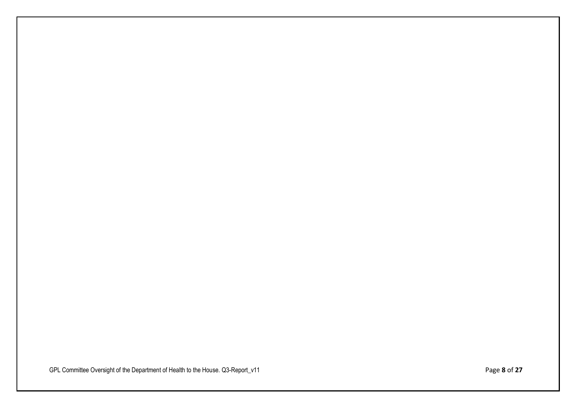GPL Committee Oversight of the Department of Health to the House. Q3-Report\_v11 **Page 8** of **27** Page **8** of **27**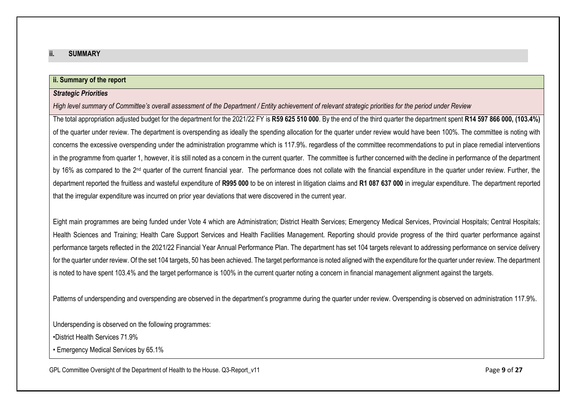#### <span id="page-8-0"></span>**ii. SUMMARY**

#### **ii. Summary of the report**

#### *Strategic Priorities*

*High level summary of Committee's overall assessment of the Department / Entity achievement of relevant strategic priorities for the period under Review*

The total appropriation adjusted budget for the department for the 2021/22 FY is R59 625 510 000. By the end of the third quarter the department spent R14 597 866 000, (103.4%) of the quarter under review. The department is overspending as ideally the spending allocation for the quarter under review would have been 100%. The committee is noting with concerns the excessive overspending under the administration programme which is 117.9%. regardless of the committee recommendations to put in place remedial interventions in the programme from quarter 1, however, it is still noted as a concern in the current quarter. The committee is further concerned with the decline in performance of the department by 16% as compared to the 2<sup>nd</sup> quarter of the current financial year. The performance does not collate with the financial expenditure in the quarter under review. Further, the department reported the fruitless and wasteful expenditure of **R995 000** to be on interest in litigation claims and **R1 087 637 000** in irregular expenditure. The department reported that the irregular expenditure was incurred on prior year deviations that were discovered in the current year.

Eight main programmes are being funded under Vote 4 which are Administration; District Health Services; Emergency Medical Services, Provincial Hospitals; Central Hospitals; Health Sciences and Training; Health Care Support Services and Health Facilities Management. Reporting should provide progress of the third quarter performance against performance targets reflected in the 2021/22 Financial Year Annual Performance Plan. The department has set 104 targets relevant to addressing performance on service delivery for the quarter under review. Of the set 104 targets, 50 has been achieved. The target performance is noted aligned with the expenditure for the quarter under review. The department is noted to have spent 103.4% and the target performance is 100% in the current quarter noting a concern in financial management alignment against the targets.

Patterns of underspending and overspending are observed in the department's programme during the quarter under review. Overspending is observed on administration 117.9%.

Underspending is observed on the following programmes:

•District Health Services 71.9%

• Emergency Medical Services by 65.1%

GPL Committee Oversight of the Department of Health to the House. Q3-Report v11 **Page 9** of **27 Page 9** of **27**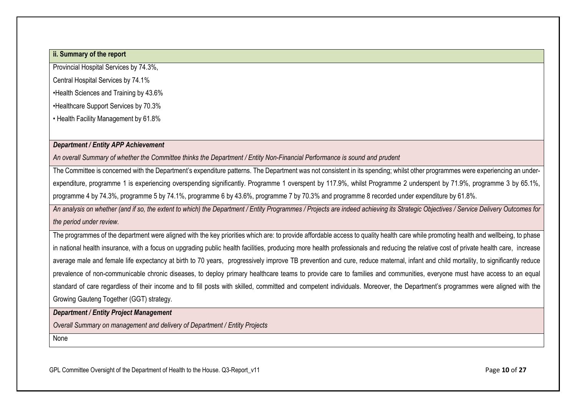## **ii. Summary of the report**

Provincial Hospital Services by 74.3%,

Central Hospital Services by 74.1%

•Health Sciences and Training by 43.6%

•Healthcare Support Services by 70.3%

• Health Facility Management by 61.8%

#### *Department / Entity APP Achievement*

*An overall Summary of whether the Committee thinks the Department / Entity Non-Financial Performance is sound and prudent*

The Committee is concerned with the Department's expenditure patterns. The Department was not consistent in its spending; whilst other programmes were experiencing an underexpenditure, programme 1 is experiencing overspending significantly. Programme 1 overspent by 117.9%, whilst Programme 2 underspent by 71.9%, programme 3 by 65.1%, programme 4 by 74.3%, programme 5 by 74.1%, programme 6 by 43.6%, programme 7 by 70.3% and programme 8 recorded under expenditure by 61.8%.

*An analysis on whether (and if so, the extent to which) the Department / Entity Programmes / Projects are indeed achieving its Strategic Objectives / Service Delivery Outcomes for the period under review.*

The programmes of the department were aligned with the key priorities which are: to provide affordable access to quality health care while promoting health and wellbeing, to phase in national health insurance, with a focus on upgrading public health facilities, producing more health professionals and reducing the relative cost of private health care, increase average male and female life expectancy at birth to 70 years, progressively improve TB prevention and cure, reduce maternal, infant and child mortality, to significantly reduce prevalence of non-communicable chronic diseases, to deploy primary healthcare teams to provide care to families and communities, everyone must have access to an equal standard of care regardless of their income and to fill posts with skilled, committed and competent individuals. Moreover, the Department's programmes were aligned with the Growing Gauteng Together (GGT) strategy.

## *Department / Entity Project Management*

*Overall Summary on management and delivery of Department / Entity Projects*

None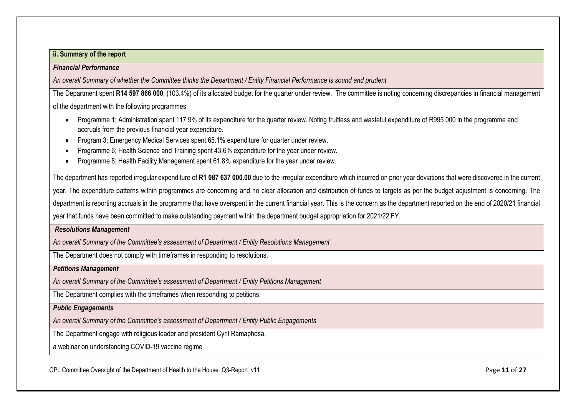#### **ii. Summary of the report**

#### *Financial Performance*

*An overall Summary of whether the Committee thinks the Department / Entity Financial Performance is sound and prudent*

The Department spent **R14 597 866 000**, (103.4%) of its allocated budget for the quarter under review. The committee is noting concerning discrepancies in financial management of the department with the following programmes:

- Programme 1; Administration spent 117.9% of its expenditure for the quarter review. Noting fruitless and wasteful expenditure of R995 000 in the programme and accruals from the previous financial year expenditure.
- Program 3; Emergency Medical Services spent 65.1% expenditure for quarter under review.
- Programme 6; Health Science and Training spent 43.6% expenditure for the year under review.
- Programme 8; Health Facility Management spent 61.8% expenditure for the year under review.

The department has reported irregular expenditure of **R1 087 637 000.00** due to the irregular expenditure which incurred on prior year deviations that were discovered in the current year. The expenditure patterns within programmes are concerning and no clear allocation and distribution of funds to targets as per the budget adjustment is concerning. The department is reporting accruals in the programme that have overspent in the current financial year. This is the concern as the department reported on the end of 2020/21 financial year that funds have been committed to make outstanding payment within the department budget appropriation for 2021/22 FY.

#### *Resolutions Management*

*An overall Summary of the Committee's assessment of Department / Entity Resolutions Management*

The Department does not comply with timeframes in responding to resolutions.

#### *Petitions Management*

*An overall Summary of the Committee's assessment of Department / Entity Petitions Management*

The Department complies with the timeframes when responding to petitions.

#### *Public Engagements*

*An overall Summary of the Committee's assessment of Department / Entity Public Engagements*

The Department engage with religious leader and president Cyril Ramaphosa,

a webinar on understanding COVID-19 vaccine regime

GPL Committee Oversight of the Department of Health to the House. Q3-Report v11 **Page 11** of **27 Page 11** of **27**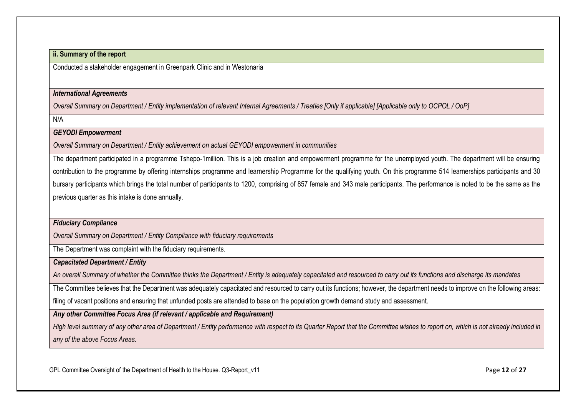#### **ii. Summary of the report**

Conducted a stakeholder engagement in Greenpark Clinic and in Westonaria

#### *International Agreements*

*Overall Summary on Department / Entity implementation of relevant Internal Agreements / Treaties [Only if applicable] [Applicable only to OCPOL / OoP]*

N/A

#### *GEYODI Empowerment*

*Overall Summary on Department / Entity achievement on actual GEYODI empowerment in communities*

The department participated in a programme Tshepo-1million. This is a job creation and empowerment programme for the unemployed youth. The department will be ensuring contribution to the programme by offering internships programme and learnership Programme for the qualifying youth. On this programme 514 learnerships participants and 30 bursary participants which brings the total number of participants to 1200, comprising of 857 female and 343 male participants. The performance is noted to be the same as the previous quarter as this intake is done annually.

#### *Fiduciary Compliance*

*Overall Summary on Department / Entity Compliance with fiduciary requirements*

The Department was complaint with the fiduciary requirements.

#### *Capacitated Department / Entity*

*An overall Summary of whether the Committee thinks the Department / Entity is adequately capacitated and resourced to carry out its functions and discharge its mandates*

The Committee believes that the Department was adequately capacitated and resourced to carry out its functions; however, the department needs to improve on the following areas: filing of vacant positions and ensuring that unfunded posts are attended to base on the population growth demand study and assessment.

#### *Any other Committee Focus Area (if relevant / applicable and Requirement)*

*High level summary of any other area of Department / Entity performance with respect to its Quarter Report that the Committee wishes to report on, which is not already included in any of the above Focus Areas.*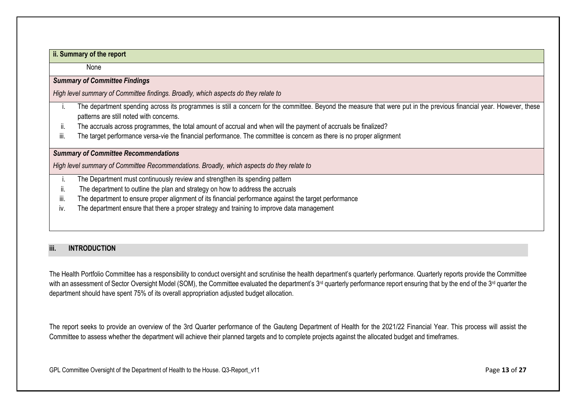| ii. Summary of the report                                                                                                                                                                                            |  |  |  |
|----------------------------------------------------------------------------------------------------------------------------------------------------------------------------------------------------------------------|--|--|--|
| None                                                                                                                                                                                                                 |  |  |  |
| <b>Summary of Committee Findings</b>                                                                                                                                                                                 |  |  |  |
| High level summary of Committee findings. Broadly, which aspects do they relate to                                                                                                                                   |  |  |  |
| The department spending across its programmes is still a concern for the committee. Beyond the measure that were put in the previous financial year. However, these<br>ъ.<br>patterns are still noted with concerns. |  |  |  |
| The accruals across programmes, the total amount of accrual and when will the payment of accruals be finalized?                                                                                                      |  |  |  |
| The target performance versa-vie the financial performance. The committee is concern as there is no proper alignment<br>III.                                                                                         |  |  |  |
| <b>Summary of Committee Recommendations</b>                                                                                                                                                                          |  |  |  |
| High level summary of Committee Recommendations. Broadly, which aspects do they relate to                                                                                                                            |  |  |  |
| The Department must continuously review and strengthen its spending pattern                                                                                                                                          |  |  |  |
| The department to outline the plan and strategy on how to address the accruals<br>Ш.                                                                                                                                 |  |  |  |
| The department to ensure proper alignment of its financial performance against the target performance<br>III.                                                                                                        |  |  |  |
| The department ensure that there a proper strategy and training to improve data management<br>IV.                                                                                                                    |  |  |  |
|                                                                                                                                                                                                                      |  |  |  |

## <span id="page-12-0"></span>**iii. INTRODUCTION**

The Health Portfolio Committee has a responsibility to conduct oversight and scrutinise the health department's quarterly performance. Quarterly reports provide the Committee with an assessment of Sector Oversight Model (SOM), the Committee evaluated the department's 3<sup>rd</sup> quarterly performance report ensuring that by the end of the 3<sup>rd</sup> quarter the department should have spent 75% of its overall appropriation adjusted budget allocation.

The report seeks to provide an overview of the 3rd Quarter performance of the Gauteng Department of Health for the 2021/22 Financial Year. This process will assist the Committee to assess whether the department will achieve their planned targets and to complete projects against the allocated budget and timeframes.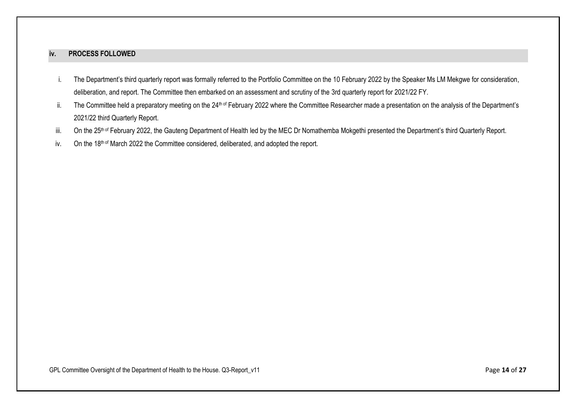#### <span id="page-13-0"></span>**iv. PROCESS FOLLOWED**

- i. The Department's third quarterly report was formally referred to the Portfolio Committee on the 10 February 2022 by the Speaker Ms LM Mekgwe for consideration, deliberation, and report. The Committee then embarked on an assessment and scrutiny of the 3rd quarterly report for 2021/22 FY.
- ii. The Committee held a preparatory meeting on the 24<sup>th of</sup> February 2022 where the Committee Researcher made a presentation on the analysis of the Department's 2021/22 third Quarterly Report.
- iii. On the 25<sup>th of</sup> February 2022, the Gauteng Department of Health led by the MEC Dr Nomathemba Mokgethi presented the Department's third Quarterly Report.
- iv. On the 18th of March 2022 the Committee considered, deliberated, and adopted the report.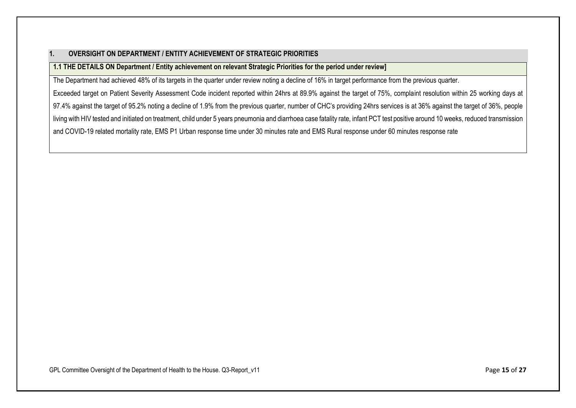## <span id="page-14-0"></span>**1. OVERSIGHT ON DEPARTMENT / ENTITY ACHIEVEMENT OF STRATEGIC PRIORITIES**

## **1.1 THE DETAILS ON Department / Entity achievement on relevant Strategic Priorities for the period under review]**

The Department had achieved 48% of its targets in the quarter under review noting a decline of 16% in target performance from the previous quarter.

Exceeded target on Patient Severity Assessment Code incident reported within 24hrs at 89.9% against the target of 75%, complaint resolution within 25 working days at 97.4% against the target of 95.2% noting a decline of 1.9% from the previous quarter, number of CHC's providing 24hrs services is at 36% against the target of 36%, people living with HIV tested and initiated on treatment, child under 5 years pneumonia and diarrhoea case fatality rate, infant PCT test positive around 10 weeks, reduced transmission and COVID-19 related mortality rate, EMS P1 Urban response time under 30 minutes rate and EMS Rural response under 60 minutes response rate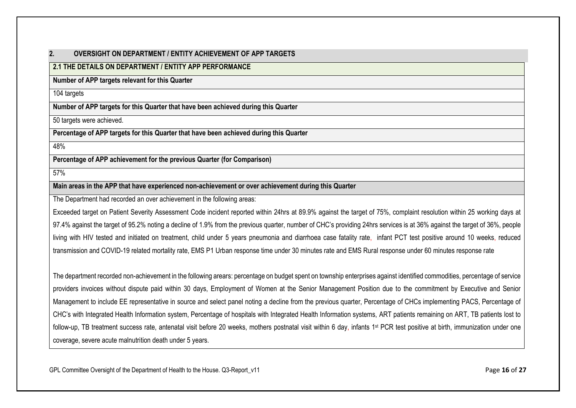#### <span id="page-15-0"></span>**2. OVERSIGHT ON DEPARTMENT / ENTITY ACHIEVEMENT OF APP TARGETS**

## **2.1 THE DETAILS ON DEPARTMENT / ENTITY APP PERFORMANCE**

**Number of APP targets relevant for this Quarter**

104 targets

**Number of APP targets for this Quarter that have been achieved during this Quarter**

50 targets were achieved.

**Percentage of APP targets for this Quarter that have been achieved during this Quarter**

48%

**Percentage of APP achievement for the previous Quarter (for Comparison)**

57%

**Main areas in the APP that have experienced non-achievement or over achievement during this Quarter**

The Department had recorded an over achievement in the following areas:

Exceeded target on Patient Severity Assessment Code incident reported within 24hrs at 89.9% against the target of 75%, complaint resolution within 25 working days at 97.4% against the target of 95.2% noting a decline of 1.9% from the previous quarter, number of CHC's providing 24hrs services is at 36% against the target of 36%, people living with HIV tested and initiated on treatment, child under 5 years pneumonia and diarrhoea case fatality rate, infant PCT test positive around 10 weeks, reduced transmission and COVID-19 related mortality rate, EMS P1 Urban response time under 30 minutes rate and EMS Rural response under 60 minutes response rate

The department recorded non-achievement in the following arears: percentage on budget spent on township enterprises against identified commodities, percentage of service providers invoices without dispute paid within 30 days, Employment of Women at the Senior Management Position due to the commitment by Executive and Senior Management to include EE representative in source and select panel noting a decline from the previous quarter, Percentage of CHCs implementing PACS, Percentage of CHC's with Integrated Health Information system, Percentage of hospitals with Integrated Health Information systems, ART patients remaining on ART, TB patients lost to follow-up, TB treatment success rate, antenatal visit before 20 weeks, mothers postnatal visit within 6 day, infants 1st PCR test positive at birth, immunization under one coverage, severe acute malnutrition death under 5 years.

GPL Committee Oversight of the Department of Health to the House. Q3-Report v11 **Page 16** of **27 Page 16** of **27**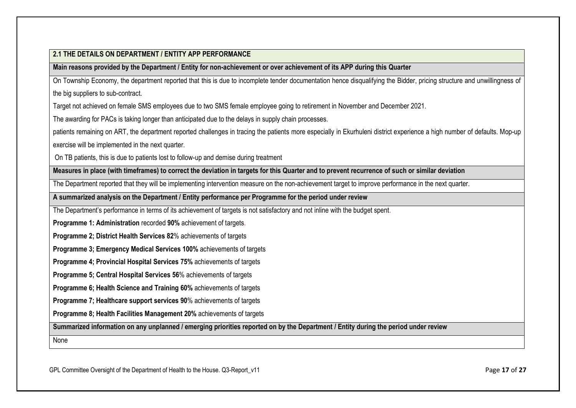## **2.1 THE DETAILS ON DEPARTMENT / ENTITY APP PERFORMANCE**

**Main reasons provided by the Department / Entity for non-achievement or over achievement of its APP during this Quarter**

On Township Economy, the department reported that this is due to incomplete tender documentation hence disqualifying the Bidder, pricing structure and unwillingness of the big suppliers to sub-contract.

Target not achieved on female SMS employees due to two SMS female employee going to retirement in November and December 2021.

The awarding for PACs is taking longer than anticipated due to the delays in supply chain processes.

patients remaining on ART, the department reported challenges in tracing the patients more especially in Ekurhuleni district experience a high number of defaults. Mop-up exercise will be implemented in the next quarter.

On TB patients, this is due to patients lost to follow-up and demise during treatment

**Measures in place (with timeframes) to correct the deviation in targets for this Quarter and to prevent recurrence of such or similar deviation**

The Department reported that they will be implementing intervention measure on the non-achievement target to improve performance in the next quarter.

**A summarized analysis on the Department / Entity performance per Programme for the period under review**

The Department's performance in terms of its achievement of targets is not satisfactory and not inline with the budget spent.

**Programme 1: Administration** recorded **90%** achievement of targets.

**Programme 2; District Health Services 82**% achievements of targets

**Programme 3; Emergency Medical Services 100%** achievements of targets

**Programme 4; Provincial Hospital Services 75%** achievements of targets

**Programme 5; Central Hospital Services 56**% achievements of targets

**Programme 6; Health Science and Training 60%** achievements of targets

**Programme 7; Healthcare support services 90**% achievements of targets

**Programme 8; Health Facilities Management 20%** achievements of targets

**Summarized information on any unplanned / emerging priorities reported on by the Department / Entity during the period under review**

None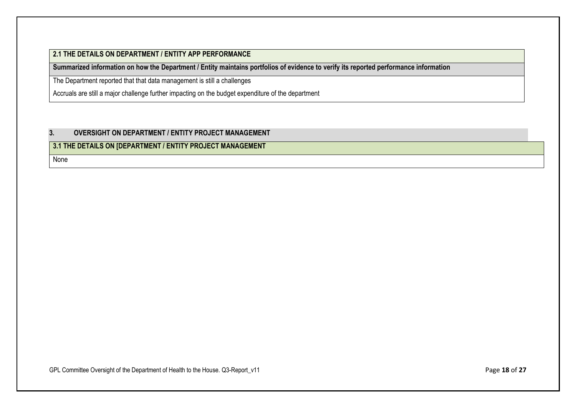## **2.1 THE DETAILS ON DEPARTMENT / ENTITY APP PERFORMANCE**

**Summarized information on how the Department / Entity maintains portfolios of evidence to verify its reported performance information**

The Department reported that that data management is still a challenges

Accruals are still a major challenge further impacting on the budget expenditure of the department

## <span id="page-17-0"></span>**3. OVERSIGHT ON DEPARTMENT / ENTITY PROJECT MANAGEMENT**

## **3.1 THE DETAILS ON [DEPARTMENT / ENTITY PROJECT MANAGEMENT**

None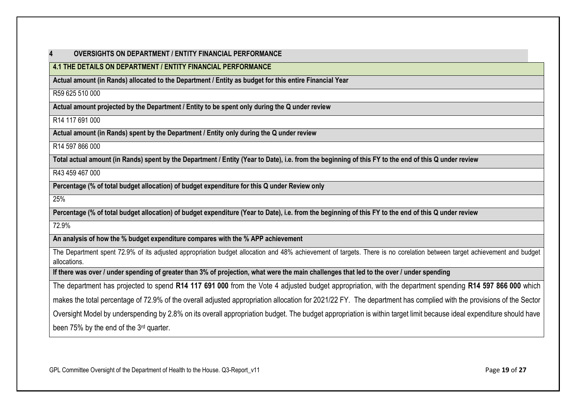#### <span id="page-18-0"></span>**4 OVERSIGHTS ON DEPARTMENT / ENTITY FINANCIAL PERFORMANCE**

#### **4.1 THE DETAILS ON DEPARTMENT / ENTITY FINANCIAL PERFORMANCE**

**Actual amount (in Rands) allocated to the Department / Entity as budget for this entire Financial Year** 

#### R59 625 510 000

**Actual amount projected by the Department / Entity to be spent only during the Q under review**

#### R14 117 691 000

**Actual amount (in Rands) spent by the Department / Entity only during the Q under review**

R14 597 866 000

**Total actual amount (in Rands) spent by the Department / Entity (Year to Date), i.e. from the beginning of this FY to the end of this Q under review**

R43 459 467 000

**Percentage (% of total budget allocation) of budget expenditure for this Q under Review only**

25%

**Percentage (% of total budget allocation) of budget expenditure (Year to Date), i.e. from the beginning of this FY to the end of this Q under review**

72.9%

**An analysis of how the % budget expenditure compares with the % APP achievement**

The Department spent 72.9% of its adjusted appropriation budget allocation and 48% achievement of targets. There is no corelation between target achievement and budget allocations.

**If there was over / under spending of greater than 3% of projection, what were the main challenges that led to the over / under spending**

The department has projected to spend **R14 117 691 000** from the Vote 4 adjusted budget appropriation, with the department spending **R14 597 866 000** which makes the total percentage of 72.9% of the overall adjusted appropriation allocation for 2021/22 FY. The department has complied with the provisions of the Sector Oversight Model by underspending by 2.8% on its overall appropriation budget. The budget appropriation is within target limit because ideal expenditure should have been 75% by the end of the 3rd quarter.

GPL Committee Oversight of the Department of Health to the House. Q3-Report v11 **Page 19** of **27 Page 19** of **27**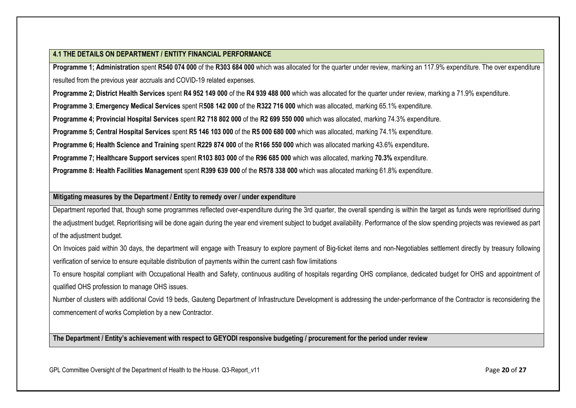## **4.1 THE DETAILS ON DEPARTMENT / ENTITY FINANCIAL PERFORMANCE**

**Programme 1; Administration** spent **R540 074 000** of the **R303 684 000** which was allocated for the quarter under review, marking an 117.9% expenditure. The over expenditure resulted from the previous year accruals and COVID-19 related expenses.

**Programme 2; District Health Services** spent **R4 952 149 000** of the **R4 939 488 000** which was allocated for the quarter under review, marking a 71.9% expenditure.

**Programme 3**; **Emergency Medical Services** spent R**508 142 000** of the **R322 716 000** which was allocated, marking 65.1% expenditure.

**Programme 4; Provincial Hospital Services** spent **R2 718 802 000** of the **R2 699 550 000** which was allocated, marking 74.3% expenditure.

**Programme 5; Central Hospital Services** spent **R5 146 103 000** of the **R5 000 680 000** which was allocated, marking 74.1% expenditure.

**Programme 6; Health Science and Training** spent **R229 874 000** of the **R166 550 000** which was allocated marking 43.6% expenditure**.** 

**Programme 7; Healthcare Support services** spent **R103 803 000** of the **R96 685 000** which was allocated, marking **70.3%** expenditure.

**Programme 8: Health Facilities Management** spent **R399 639 000** of the **R578 338 000** which was allocated marking 61.8% expenditure.

**Mitigating measures by the Department / Entity to remedy over / under expenditure**

Department reported that, though some programmes reflected over-expenditure during the 3rd quarter, the overall spending is within the target as funds were reprioritised during the adjustment budget. Reprioritising will be done again during the year end virement subject to budget availability. Performance of the slow spending projects was reviewed as part of the adjustment budget.

On Invoices paid within 30 days, the department will engage with Treasury to explore payment of Big-ticket items and non-Negotiables settlement directly by treasury following verification of service to ensure equitable distribution of payments within the current cash flow limitations

To ensure hospital compliant with Occupational Health and Safety, continuous auditing of hospitals regarding OHS compliance, dedicated budget for OHS and appointment of qualified OHS profession to manage OHS issues.

Number of clusters with additional Covid 19 beds, Gauteng Department of Infrastructure Development is addressing the under-performance of the Contractor is reconsidering the commencement of works Completion by a new Contractor.

**The Department / Entity's achievement with respect to GEYODI responsive budgeting / procurement for the period under review**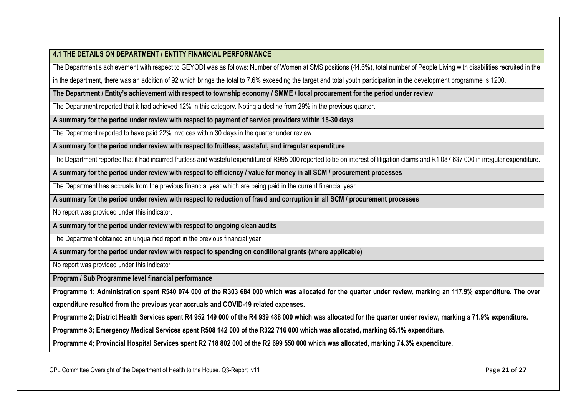### **4.1 THE DETAILS ON DEPARTMENT / ENTITY FINANCIAL PERFORMANCE**

The Department's achievement with respect to GEYODI was as follows: Number of Women at SMS positions (44.6%), total number of People Living with disabilities recruited in the

in the department, there was an addition of 92 which brings the total to 7.6% exceeding the target and total youth participation in the development programme is 1200.

**The Department / Entity's achievement with respect to township economy / SMME / local procurement for the period under review**

The Department reported that it had achieved 12% in this category. Noting a decline from 29% in the previous quarter.

**A summary for the period under review with respect to payment of service providers within 15-30 days**

The Department reported to have paid 22% invoices within 30 days in the quarter under review.

**A summary for the period under review with respect to fruitless, wasteful, and irregular expenditure**

The Department reported that it had incurred fruitless and wasteful expenditure of R995 000 reported to be on interest of litigation claims and R1 087 637 000 in irregular expenditure.

**A summary for the period under review with respect to efficiency / value for money in all SCM / procurement processes**

The Department has accruals from the previous financial year which are being paid in the current financial year

**A summary for the period under review with respect to reduction of fraud and corruption in all SCM / procurement processes**

No report was provided under this indicator.

**A summary for the period under review with respect to ongoing clean audits**

The Department obtained an unqualified report in the previous financial year

**A summary for the period under review with respect to spending on conditional grants (where applicable)**

No report was provided under this indicator

**Program / Sub Programme level financial performance**

**Programme 1; Administration spent R540 074 000 of the R303 684 000 which was allocated for the quarter under review, marking an 117.9% expenditure. The over**

**expenditure resulted from the previous year accruals and COVID-19 related expenses.** 

**Programme 2; District Health Services spent R4 952 149 000 of the R4 939 488 000 which was allocated for the quarter under review, marking a 71.9% expenditure.** 

**Programme 3; Emergency Medical Services spent R508 142 000 of the R322 716 000 which was allocated, marking 65.1% expenditure.** 

**Programme 4; Provincial Hospital Services spent R2 718 802 000 of the R2 699 550 000 which was allocated, marking 74.3% expenditure.**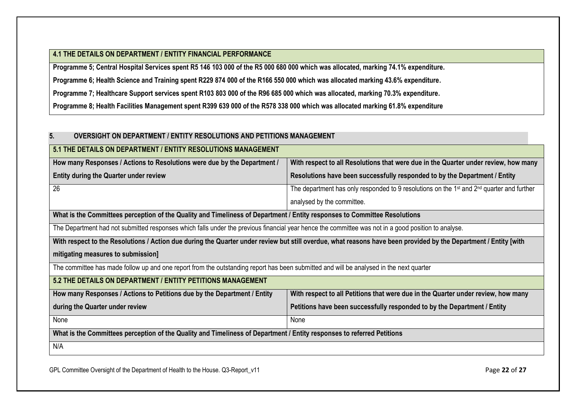## **4.1 THE DETAILS ON DEPARTMENT / ENTITY FINANCIAL PERFORMANCE**

**Programme 5; Central Hospital Services spent R5 146 103 000 of the R5 000 680 000 which was allocated, marking 74.1% expenditure.**

**Programme 6; Health Science and Training spent R229 874 000 of the R166 550 000 which was allocated marking 43.6% expenditure.** 

**Programme 7; Healthcare Support services spent R103 803 000 of the R96 685 000 which was allocated, marking 70.3% expenditure.** 

**Programme 8; Health Facilities Management spent R399 639 000 of the R578 338 000 which was allocated marking 61.8% expenditure**

## <span id="page-21-0"></span>**5. OVERSIGHT ON DEPARTMENT / ENTITY RESOLUTIONS AND PETITIONS MANAGEMENT**

| 5.1 THE DETAILS ON DEPARTMENT / ENTITY RESOLUTIONS MANAGEMENT                                                                                                    |                                                                                                         |  |  |
|------------------------------------------------------------------------------------------------------------------------------------------------------------------|---------------------------------------------------------------------------------------------------------|--|--|
| How many Responses / Actions to Resolutions were due by the Department /                                                                                         | With respect to all Resolutions that were due in the Quarter under review, how many                     |  |  |
| <b>Entity during the Quarter under review</b>                                                                                                                    | Resolutions have been successfully responded to by the Department / Entity                              |  |  |
| 26                                                                                                                                                               | The department has only responded to 9 resolutions on the 1 <sup>st</sup> and $2nd$ quarter and further |  |  |
|                                                                                                                                                                  | analysed by the committee.                                                                              |  |  |
| What is the Committees perception of the Quality and Timeliness of Department / Entity responses to Committee Resolutions                                        |                                                                                                         |  |  |
| The Department had not submitted responses which falls under the previous financial year hence the committee was not in a good position to analyse.              |                                                                                                         |  |  |
| With respect to the Resolutions / Action due during the Quarter under review but still overdue, what reasons have been provided by the Department / Entity [with |                                                                                                         |  |  |
| mitigating measures to submission]                                                                                                                               |                                                                                                         |  |  |
| The committee has made follow up and one report from the outstanding report has been submitted and will be analysed in the next quarter                          |                                                                                                         |  |  |
| 5.2 THE DETAILS ON DEPARTMENT / ENTITY PETITIONS MANAGEMENT                                                                                                      |                                                                                                         |  |  |
| How many Responses / Actions to Petitions due by the Department / Entity                                                                                         | With respect to all Petitions that were due in the Quarter under review, how many                       |  |  |
| during the Quarter under review                                                                                                                                  | Petitions have been successfully responded to by the Department / Entity                                |  |  |
| None                                                                                                                                                             | None                                                                                                    |  |  |
| What is the Committees perception of the Quality and Timeliness of Department / Entity responses to referred Petitions                                           |                                                                                                         |  |  |
| N/A                                                                                                                                                              |                                                                                                         |  |  |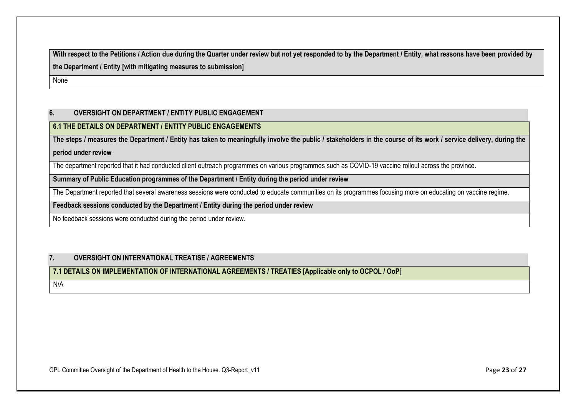With respect to the Petitions / Action due during the Quarter under review but not vet responded to by the Department / Entity, what reasons have been provided by **the Department / Entity [with mitigating measures to submission]**

None

## <span id="page-22-0"></span>**6. OVERSIGHT ON DEPARTMENT / ENTITY PUBLIC ENGAGEMENT**

## **6.1 THE DETAILS ON DEPARTMENT / ENTITY PUBLIC ENGAGEMENTS**

**The steps / measures the Department / Entity has taken to meaningfully involve the public / stakeholders in the course of its work / service delivery, during the period under review**

The department reported that it had conducted client outreach programmes on various programmes such as COVID-19 vaccine rollout across the province.

**Summary of Public Education programmes of the Department / Entity during the period under review**

The Department reported that several awareness sessions were conducted to educate communities on its programmes focusing more on educating on vaccine regime.

**Feedback sessions conducted by the Department / Entity during the period under review**

No feedback sessions were conducted during the period under review.

## <span id="page-22-1"></span>**7. OVERSIGHT ON INTERNATIONAL TREATISE / AGREEMENTS**

## **7.1 DETAILS ON IMPLEMENTATION OF INTERNATIONAL AGREEMENTS / TREATIES [Applicable only to OCPOL / OoP]**

N/A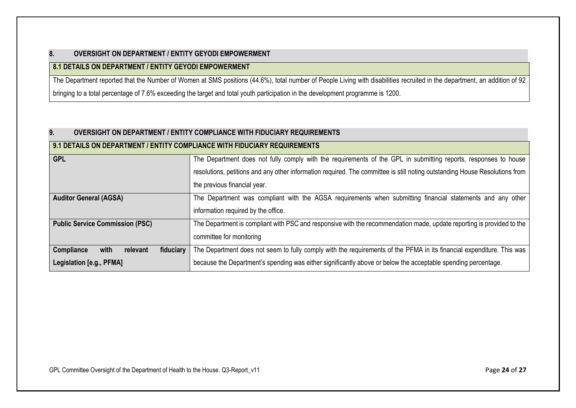#### <span id="page-23-0"></span>**8. OVERSIGHT ON DEPARTMENT / ENTITY GEYODI EMPOWERMENT**

## **8.1 DETAILS ON DEPARTMENT / ENTITY GEYODI EMPOWERMENT**

The Department reported that the Number of Women at SMS positions (44.6%), total number of People Living with disabilities recruited in the department, an addition of 92 bringing to a total percentage of 7.6% exceeding the target and total youth participation in the development programme is 1200.

## <span id="page-23-1"></span>**9. OVERSIGHT ON DEPARTMENT / ENTITY COMPLIANCE WITH FIDUCIARY REQUIREMENTS**

| 9.1 DETAILS ON DEPARTMENT / ENTITY COMPLIANCE WITH FIDUCIARY REQUIREMENTS |                                                                                                                             |  |
|---------------------------------------------------------------------------|-----------------------------------------------------------------------------------------------------------------------------|--|
| <b>GPL</b>                                                                | The Department does not fully comply with the requirements of the GPL in submitting reports, responses to house             |  |
|                                                                           | resolutions, petitions and any other information required. The committee is still noting outstanding House Resolutions from |  |
|                                                                           | the previous financial year.                                                                                                |  |
| <b>Auditor General (AGSA)</b>                                             | The Department was compliant with the AGSA requirements when submitting financial statements and any other                  |  |
|                                                                           | information required by the office.                                                                                         |  |
| <b>Public Service Commission (PSC)</b>                                    | The Department is compliant with PSC and responsive with the recommendation made, update reporting is provided to the       |  |
|                                                                           | committee for monitoring                                                                                                    |  |
| Compliance<br>fiduciary<br>with<br>relevant                               | The Department does not seem to fully comply with the requirements of the PFMA in its financial expenditure. This was       |  |
| Legislation [e.g., PFMA]                                                  | because the Department's spending was either significantly above or below the acceptable spending percentage.               |  |

GPL Committee Oversight of the Department of Health to the House. Q3-Report\_v11 **Page 24** of **27** Page 24 of **27**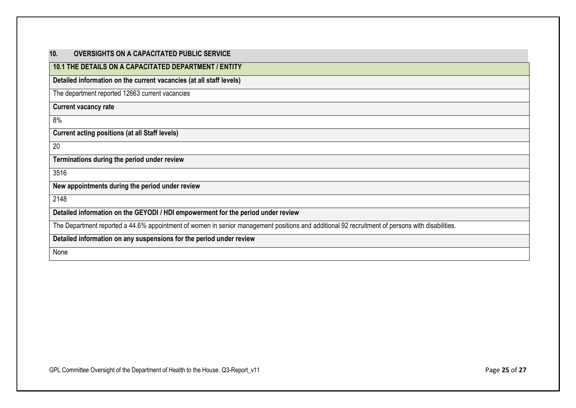<span id="page-24-0"></span>

| 10.<br><b>OVERSIGHTS ON A CAPACITATED PUBLIC SERVICE</b>                                                                                        |
|-------------------------------------------------------------------------------------------------------------------------------------------------|
| 10.1 THE DETAILS ON A CAPACITATED DEPARTMENT / ENTITY                                                                                           |
| Detailed information on the current vacancies (at all staff levels)                                                                             |
| The department reported 12663 current vacancies                                                                                                 |
| <b>Current vacancy rate</b>                                                                                                                     |
| 8%                                                                                                                                              |
| <b>Current acting positions (at all Staff levels)</b>                                                                                           |
| 20                                                                                                                                              |
| Terminations during the period under review                                                                                                     |
| 3516                                                                                                                                            |
| New appointments during the period under review                                                                                                 |
| 2148                                                                                                                                            |
| Detailed information on the GEYODI / HDI empowerment for the period under review                                                                |
| The Department reported a 44.6% appointment of women in senior management positions and additional 92 recruitment of persons with disabilities. |
| Detailed information on any suspensions for the period under review                                                                             |
| None                                                                                                                                            |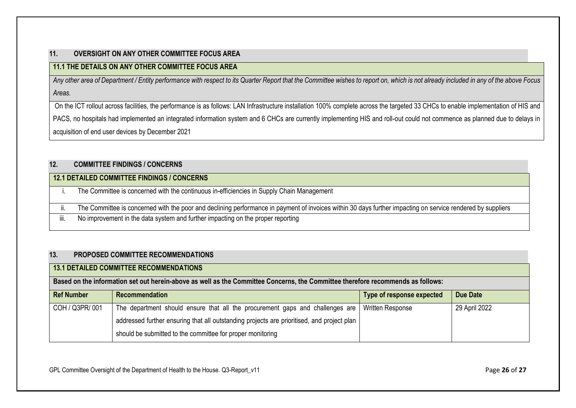### <span id="page-25-0"></span>**11. OVERSIGHT ON ANY OTHER COMMITTEE FOCUS AREA**

## **11.1 THE DETAILS ON ANY OTHER COMMITTEE FOCUS AREA**

*Any other area of Department / Entity performance with respect to its Quarter Report that the Committee wishes to report on, which is not already included in any of the above Focus Areas.*

On the ICT rollout across facilities, the performance is as follows: LAN Infrastructure installation 100% complete across the targeted 33 CHCs to enable implementation of HIS and PACS, no hospitals had implemented an integrated information system and 6 CHCs are currently implementing HIS and roll-out could not commence as planned due to delays in acquisition of end user devices by December 2021

#### <span id="page-25-1"></span>**12. COMMITTEE FINDINGS / CONCERNS**

## **12.1 DETAILED COMMITTEE FINDINGS / CONCERNS**

i. The Committee is concerned with the continuous in-efficiencies in Supply Chain Management

ii. The Committee is concerned with the poor and declining performance in payment of invoices within 30 days further impacting on service rendered by suppliers

iii. No improvement in the data system and further impacting on the proper reporting

#### <span id="page-25-2"></span>**13. PROPOSED COMMITTEE RECOMMENDATIONS**

## **13.1 DETAILED COMMITTEE RECOMMENDATIONS**

**Based on the information set out herein-above as well as the Committee Concerns, the Committee therefore recommends as follows:**

| <b>Ref Number</b> | Recommendation                                                                             | Type of response expected | Due Date      |
|-------------------|--------------------------------------------------------------------------------------------|---------------------------|---------------|
| COH / Q3PR/001    | The department should ensure that all the procurement gaps and challenges are              | Written Response          | 29 April 2022 |
|                   | addressed further ensuring that all outstanding projects are prioritised, and project plan |                           |               |
|                   | should be submitted to the committee for proper monitoring                                 |                           |               |

GPL Committee Oversight of the Department of Health to the House. Q3-Report\_v11 **Page 26** of **27**